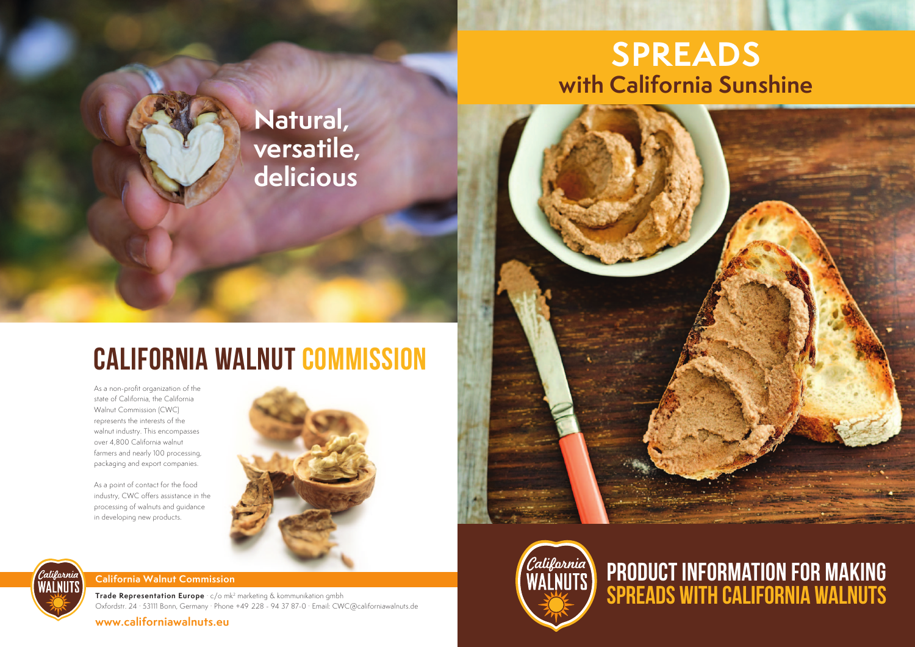#### **California Walnut Commission**

**Trade Representation Europe** · c/o mk2 marketing & kommunikation gmbh Oxfordstr. 24 · 53111 Bonn, Germany · Phone +49 228 - 94 37 87-0 · Email: CWC@californiawalnuts.de

**www.californiawalnuts.eu**







# **CALIFORNIA WALNUT COMMISSION**

As a non-profit organization of the state of California, the California Walnut Commission (CWC) represents the interests of the walnut industry. This encompasses over 4,800 California walnut farmers and nearly 100 processing, packaging and export companies.

As a point of contact for the food industry, CWC offers assistance in the processing of walnuts and guidance in developing new products.





## **Natural, versatile, delicious**

# **SPREADS with California Sunshine**

### **Product information for making spreads with California walnuts**